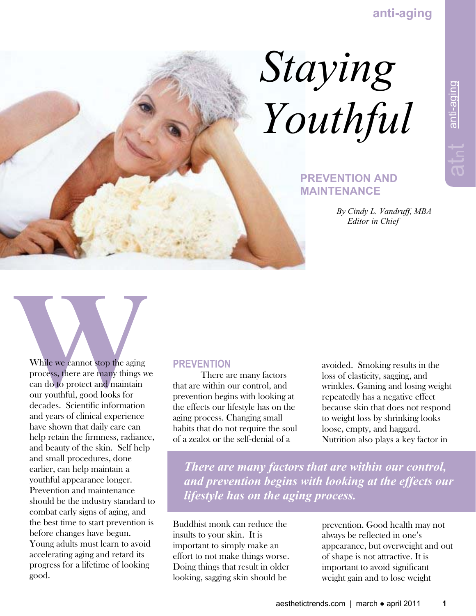

## **PREVENTION AND MAINTENANCE**

 *By Cindy L. Vandruff, MBA Editor in Chief* 

lanti-aging  $\pm$ anti-aging

While we cannot stop the aging process, there are many things we can do to protect and maintain our youthful, good looks for decades. Scientific information and years of clinical experience have shown that daily care can help retain the firmness, radiance, and beauty of the skin. Self help and small procedures, done earlier, can help maintain a youthful appearance longer. Prevention and maintenance should be the industry standard to combat early signs of aging, and the best time to start prevention is before changes have begun. Young adults must learn to avoid accelerating aging and retard its progress for a lifetime of looking good.

## **PREVENTION**

 There are many factors that are within our control, and prevention begins with looking at the effects our lifestyle has on the aging process. Changing small habits that do not require the soul of a zealot or the self-denial of a

avoided. Smoking results in the loss of elasticity, sagging, and wrinkles. Gaining and losing weight repeatedly has a negative effect because skin that does not respond to weight loss by shrinking looks loose, empty, and haggard. Nutrition also plays a key factor in

*There are many factors that are within our control, and prevention begins with looking at the effects our lifestyle has on the aging process.* 

Buddhist monk can reduce the insults to your skin. It is important to simply make an effort to not make things worse. Doing things that result in older looking, sagging skin should be

prevention. Good health may not always be reflected in one's appearance, but overweight and out of shape is not attractive. It is important to avoid significant weight gain and to lose weight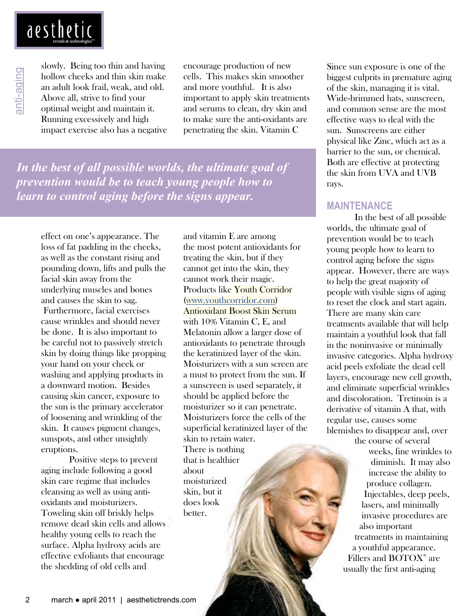

slowly. Being too thin and having hollow cheeks and thin skin make an adult look frail, weak, and old. Above all, strive to find your optimal weight and maintain it. Running excessively and high impact exercise also has a negative encourage production of new cells. This makes skin smoother and more youthful. It is also important to apply skin treatments and serums to clean, dry skin and to make sure the anti-oxidants are penetrating the skin. Vitamin C

*In the best of all possible worlds, the ultimate goal of prevention would be to teach young people how to learn to control aging before the signs appear.* 

effect on one's appearance. The loss of fat padding in the cheeks, as well as the constant rising and pounding down, lifts and pulls the facial skin away from the underlying muscles and bones and causes the skin to sag. Furthermore, facial exercises cause wrinkles and should never be done. It is also important to be careful not to passively stretch skin by doing things like propping your hand on your cheek or washing and applying products in a downward motion. Besides causing skin cancer, exposure to the sun is the primary accelerator of loosening and wrinkling of the skin. It causes pigment changes, sunspots, and other unsightly eruptions.

 Positive steps to prevent aging include following a good skin care regime that includes cleansing as well as using antioxidants and moisturizers. Toweling skin off briskly helps remove dead skin cells and allows healthy young cells to reach the surface. Alpha hydroxy acids are effective exfoliants that encourage the shedding of old cells and

 Melatonin allow a larger dose of and vitamin E are among the most potent antioxidants for treating the skin, but if they cannot get into the skin, they cannot work their magic. Products like Youth Corridor (www.youthcorridor.com) Antioxidant Boost Skin Serum with 10% Vitamin C, E, and antioxidants to penetrate through the keratinized layer of the skin. Moisturizers with a sun screen are a must to protect from the sun. If a sunscreen is used separately, it should be applied before the moisturizer so it can penetrate. Moisturizers force the cells of the superficial keratinized layer of the skin to retain water. There is nothing that is healthier about moisturized skin, but it does look better.

Since sun exposure is one of the biggest culprits in premature aging of the skin, managing it is vital. Wide-brimmed hats, sunscreen, and common sense are the most effective ways to deal with the sun. Sunscreens are either physical like Zinc, which act as a barrier to the sun, or chemical. Both are effective at protecting the skin from UVA and UVB rays.

## **MAINTENANCE**

 In the best of all possible worlds, the ultimate goal of prevention would be to teach young people how to learn to control aging before the signs appear. However, there are ways to help the great majority of people with visible signs of aging to reset the clock and start again. There are many skin care treatments available that will help maintain a youthful look that fall in the noninvasive or minimally invasive categories. Alpha hydroxy acid peels exfoliate the dead cell layers, encourage new cell growth, and eliminate superficial wrinkles and discoloration. Tretinoin is a derivative of vitamin A that, with regular use, causes some blemishes to disappear and, over

 the course of several weeks, fine wrinkles to diminish. It may also increase the ability to produce collagen. Injectables, deep peels, lasers, and minimally invasive procedures are also important treatments in maintaining a youthful appearance. Fillers and BOTOX<sup>®</sup> are usually the first anti-aging